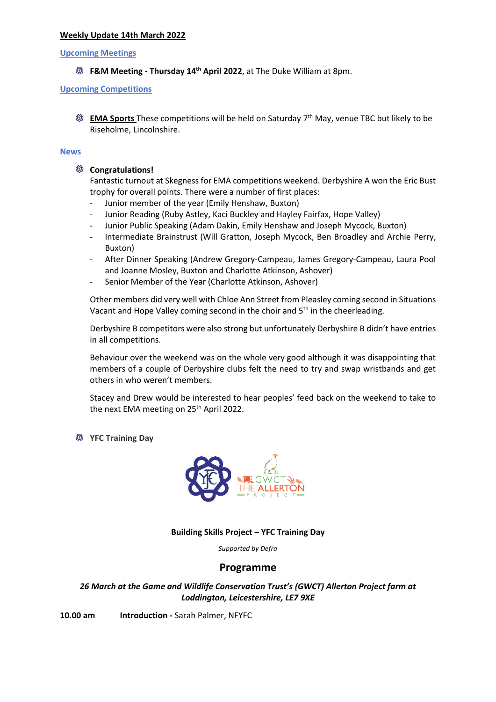# **Weekly Update 14th March 2022**

### **Upcoming Meetings**

**F&M Meeting - Thursday 14 th April 2022**, at The Duke William at 8pm.

# **Upcoming Competitions**

**EMA Sports** These competitions will be held on Saturday 7<sup>th</sup> May, venue TBC but likely to be Riseholme, Lincolnshire.

# **News**

# **Congratulations!**

Fantastic turnout at Skegness for EMA competitions weekend. Derbyshire A won the Eric Bust trophy for overall points. There were a number of first places:

- Junior member of the year (Emily Henshaw, Buxton)
- Junior Reading (Ruby Astley, Kaci Buckley and Hayley Fairfax, Hope Valley)
- Junior Public Speaking (Adam Dakin, Emily Henshaw and Joseph Mycock, Buxton)
- Intermediate Brainstrust (Will Gratton, Joseph Mycock, Ben Broadley and Archie Perry, Buxton)
- After Dinner Speaking (Andrew Gregory-Campeau, James Gregory-Campeau, Laura Pool and Joanne Mosley, Buxton and Charlotte Atkinson, Ashover)
- Senior Member of the Year (Charlotte Atkinson, Ashover)

Other members did very well with Chloe Ann Street from Pleasley coming second in Situations Vacant and Hope Valley coming second in the choir and 5<sup>th</sup> in the cheerleading.

Derbyshire B competitors were also strong but unfortunately Derbyshire B didn't have entries in all competitions.

Behaviour over the weekend was on the whole very good although it was disappointing that members of a couple of Derbyshire clubs felt the need to try and swap wristbands and get others in who weren't members.

Stacey and Drew would be interested to hear peoples' feed back on the weekend to take to the next EMA meeting on 25<sup>th</sup> April 2022.

**YFC Training Day**



# **Building Skills Project – YFC Training Day**

*Supported by Defra*

# **Programme**

# *26 March at the Game and Wildlife Conservation Trust's (GWCT) Allerton Project farm at Loddington, Leicestershire, LE7 9XE*

**10.00 am Introduction -** Sarah Palmer, NFYFC